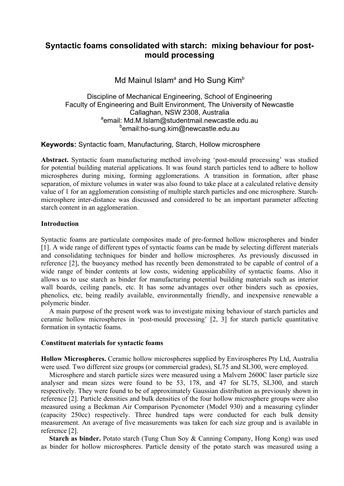# **Syntactic foams consolidated with starch: mixing behaviour for postmould processing**

Md Mainul Islam<sup>a</sup> and Ho Sung Kim<sup>b</sup>

Discipline of Mechanical Engineering, School of Engineering Faculty of Engineering and Built Environment, The University of Newcastle Callaghan, NSW 2308, Australia email: Md.M.Islam@studentmail.newcastle.edu.au b email:ho-sung.kim@newcastle.edu.au

**Keywords:** Syntactic foam, Manufacturing, Starch, Hollow microsphere

**Abstract.** Syntactic foam manufacturing method involving 'post-mould processing' was studied for potential building material applications. It was found starch particles tend to adhere to hollow microspheres during mixing, forming agglomerations. A transition in formation, after phase separation, of mixture volumes in water was also found to take place at a calculated relative density value of 1 for an agglomeration consisting of multiple starch particles and one microsphere. Starchmicrosphere inter-distance was discussed and considered to be an important parameter affecting starch content in an agglomeration.

## **Introduction**

Syntactic foams are particulate composites made of pre-formed hollow microspheres and binder [1]. A wide range of different types of syntactic foams can be made by selecting different materials and consolidating techniques for binder and hollow microspheres. As previously discussed in reference [2], the buoyancy method has recently been demonstrated to be capable of control of a wide range of binder contents at low costs, widening applicability of syntactic foams. Also it allows us to use starch as binder for manufacturing potential building materials such as interior wall boards, ceiling panels, etc. It has some advantages over other binders such as epoxies, phenolics, etc, being readily available, environmentally friendly, and inexpensive renewable a polymeric binder.

A main purpose of the present work was to investigate mixing behaviour of starch particles and ceramic hollow microspheres in 'post-mould processing' [2, 3] for starch particle quantitative formation in syntactic foams.

#### **Constituent materials for syntactic foams**

**Hollow Microspheres.** Ceramic hollow microspheres supplied by Envirospheres Pty Ltd, Australia were used. Two different size groups (or commercial grades), SL75 and SL300, were employed.

Microsphere and starch particle sizes were measured using a Malvern 2600C laser particle size analyser and mean sizes were found to be 53, 178, and 47 for SL75, SL300, and starch respectively. They were found to be of approximately Gaussian distribution as previously shown in reference [2]. Particle densities and bulk densities of the four hollow microsphere groups were also measured using a Beckman Air Comparison Pycnometer (Model 930) and a measuring cylinder (capacity 250cc) respectively. Three hundred taps were conducted for each bulk density measurement. An average of five measurements was taken for each size group and is available in reference [2].

**Starch as binder.** Potato starch (Tung Chun Soy & Canning Company, Hong Kong) was used as binder for hollow microspheres. Particle density of the potato starch was measured using a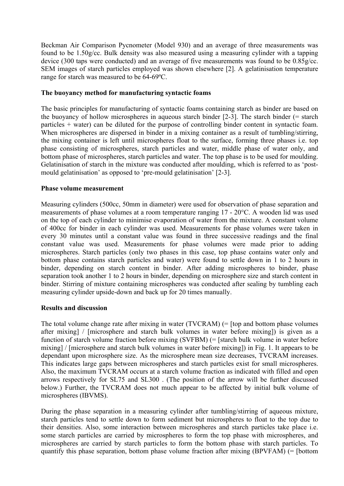Beckman Air Comparison Pycnometer (Model 930) and an average of three measurements was found to be 1.50g/cc. Bulk density was also measured using a measuring cylinder with a tapping device (300 taps were conducted) and an average of five measurements was found to be 0.85g/cc. SEM images of starch particles employed was shown elsewhere [2]. A gelatinisation temperature range for starch was measured to be 64-69ºC.

## **The buoyancy method for manufacturing syntactic foams**

The basic principles for manufacturing of syntactic foams containing starch as binder are based on the buoyancy of hollow microspheres in aqueous starch binder [2-3]. The starch binder (= starch particles + water) can be diluted for the purpose of controlling binder content in syntactic foam. When microspheres are dispersed in binder in a mixing container as a result of tumbling/stirring, the mixing container is left until microspheres float to the surface, forming three phases i.e. top phase consisting of microspheres, starch particles and water, middle phase of water only, and bottom phase of microspheres, starch particles and water. The top phase is to be used for moulding. Gelatinisation of starch in the mixture was conducted after moulding, which is referred to as 'postmould gelatinisation' as opposed to 'pre-mould gelatinisation' [2-3].

#### **Phase volume measurement**

Measuring cylinders (500cc, 50mm in diameter) were used for observation of phase separation and measurements of phase volumes at a room temperature ranging 17 - 20°C. A wooden lid was used on the top of each cylinder to minimise evaporation of water from the mixture. A constant volume of 400cc for binder in each cylinder was used. Measurements for phase volumes were taken in every 30 minutes until a constant value was found in three successive readings and the final constant value was used. Measurements for phase volumes were made prior to adding microspheres. Starch particles (only two phases in this case, top phase contains water only and bottom phase contains starch particles and water) were found to settle down in 1 to 2 hours in binder, depending on starch content in binder. After adding microspheres to binder, phase separation took another 1 to 2 hours in binder, depending on microsphere size and starch content in binder. Stirring of mixture containing microspheres was conducted after sealing by tumbling each measuring cylinder upside-down and back up for 20 times manually.

# **Results and discussion**

The total volume change rate after mixing in water (TVCRAM) (= [top and bottom phase volumes after mixing] / [microsphere and starch bulk volumes in water before mixing]) is given as a function of starch volume fraction before mixing (SVFBM) (= [starch bulk volume in water before mixing] / [microsphere and starch bulk volumes in water before mixing]) in Fig. 1. It appears to be dependant upon microsphere size. As the microsphere mean size decreases, TVCRAM increases. This indicates large gaps between microspheres and starch particles exist for small microspheres. Also, the maximum TVCRAM occurs at a starch volume fraction as indicated with filled and open arrows respectively for SL75 and SL300 . (The position of the arrow will be further discussed below.) Further, the TVCRAM does not much appear to be affected by initial bulk volume of microspheres (IBVMS).

During the phase separation in a measuring cylinder after tumbling/stirring of aqueous mixture, starch particles tend to settle down to form sediment but microspheres to float to the top due to their densities. Also, some interaction between microspheres and starch particles take place i.e. some starch particles are carried by microspheres to form the top phase with microspheres, and microspheres are carried by starch particles to form the bottom phase with starch particles. To quantify this phase separation, bottom phase volume fraction after mixing (BPVFAM) (= [bottom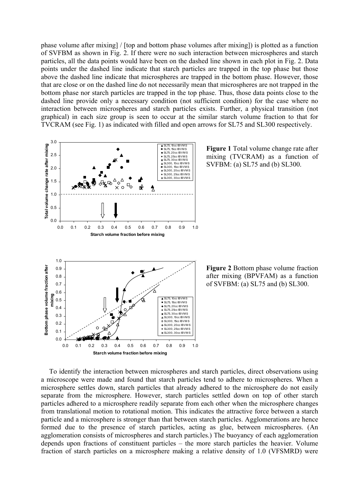phase volume after mixing] / [top and bottom phase volumes after mixing]) is plotted as a function of SVFBM as shown in Fig. 2. If there were no such interaction between microspheres and starch particles, all the data points would have been on the dashed line shown in each plot in Fig. 2. Data points under the dashed line indicate that starch particles are trapped in the top phase but those above the dashed line indicate that microspheres are trapped in the bottom phase. However, those that are close or on the dashed line do not necessarily mean that microspheres are not trapped in the bottom phase nor starch particles are trapped in the top phase. Thus, those data points close to the dashed line provide only a necessary condition (not sufficient condition) for the case where no interaction between microspheres and starch particles exists. Further, a physical transition (not graphical) in each size group is seen to occur at the similar starch volume fraction to that for TVCRAM (see Fig. 1) as indicated with filled and open arrows for SL75 and SL300 respectively.



**Figure 1** Total volume change rate after mixing (TVCRAM) as a function of SVFBM: (a) SL75 and (b) SL300.

**Figure 2** Bottom phase volume fraction after mixing (BPVFAM) as a function of SVFBM: (a) SL75 and (b) SL300.

To identify the interaction between microspheres and starch particles, direct observations using a microscope were made and found that starch particles tend to adhere to microspheres. When a microsphere settles down, starch particles that already adhered to the microsphere do not easily separate from the microsphere. However, starch particles settled down on top of other starch particles adhered to a microsphere readily separate from each other when the microsphere changes from translational motion to rotational motion. This indicates the attractive force between a starch particle and a microsphere is stronger than that between starch particles. Agglomerations are hence formed due to the presence of starch particles, acting as glue, between microspheres. (An agglomeration consists of microspheres and starch particles.) The buoyancy of each agglomeration depends upon fractions of constituent particles – the more starch particles the heavier. Volume fraction of starch particles on a microsphere making a relative density of 1.0 (VFSMRD) were